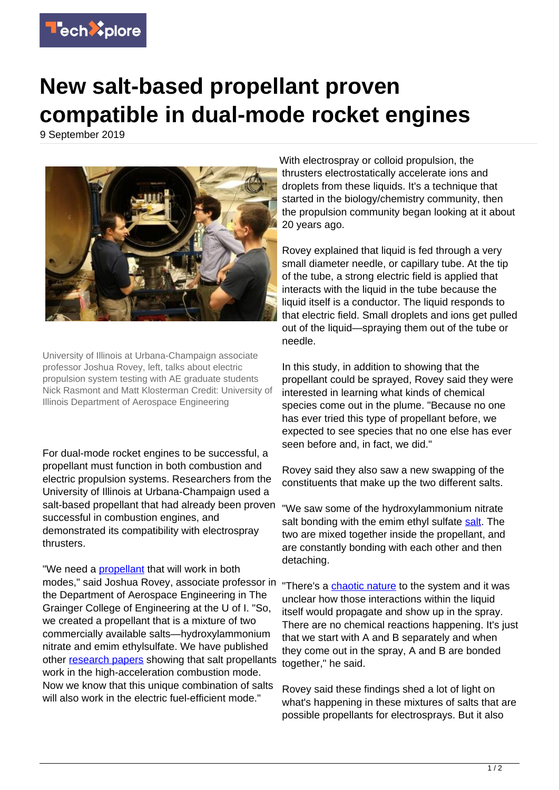

## **New salt-based propellant proven compatible in dual-mode rocket engines**

9 September 2019



University of Illinois at Urbana-Champaign associate professor Joshua Rovey, left, talks about electric propulsion system testing with AE graduate students Nick Rasmont and Matt Klosterman Credit: University of Illinois Department of Aerospace Engineering

For dual-mode rocket engines to be successful, a propellant must function in both combustion and electric propulsion systems. Researchers from the University of Illinois at Urbana-Champaign used a salt-based propellant that had already been proven successful in combustion engines, and demonstrated its compatibility with electrospray thrusters.

"We need a **propellant** that will work in both modes," said Joshua Rovey, associate professor in "There's a [chaotic nature](https://techxplore.com/tags/chaotic+nature/) to the system and it was the Department of Aerospace Engineering in The Grainger College of Engineering at the U of I. "So, we created a propellant that is a mixture of two commercially available salts—hydroxylammonium nitrate and emim ethylsulfate. We have published other [research papers](https://techxplore.com/tags/research+papers/) showing that salt propellants work in the high-acceleration combustion mode. Now we know that this unique combination of salts will also work in the electric fuel-efficient mode."

With electrospray or colloid propulsion, the thrusters electrostatically accelerate ions and droplets from these liquids. It's a technique that started in the biology/chemistry community, then the propulsion community began looking at it about 20 years ago.

Rovey explained that liquid is fed through a very small diameter needle, or capillary tube. At the tip of the tube, a strong electric field is applied that interacts with the liquid in the tube because the liquid itself is a conductor. The liquid responds to that electric field. Small droplets and ions get pulled out of the liquid—spraying them out of the tube or needle.

In this study, in addition to showing that the propellant could be sprayed, Rovey said they were interested in learning what kinds of chemical species come out in the plume. "Because no one has ever tried this type of propellant before, we expected to see species that no one else has ever seen before and, in fact, we did."

Rovey said they also saw a new swapping of the constituents that make up the two different salts.

"We saw some of the hydroxylammonium nitrate salt bonding with the emim ethyl sulfate [salt.](https://techxplore.com/tags/salt/) The two are mixed together inside the propellant, and are constantly bonding with each other and then detaching.

unclear how those interactions within the liquid itself would propagate and show up in the spray. There are no chemical reactions happening. It's just that we start with A and B separately and when they come out in the spray, A and B are bonded together," he said.

Rovey said these findings shed a lot of light on what's happening in these mixtures of salts that are possible propellants for electrosprays. But it also